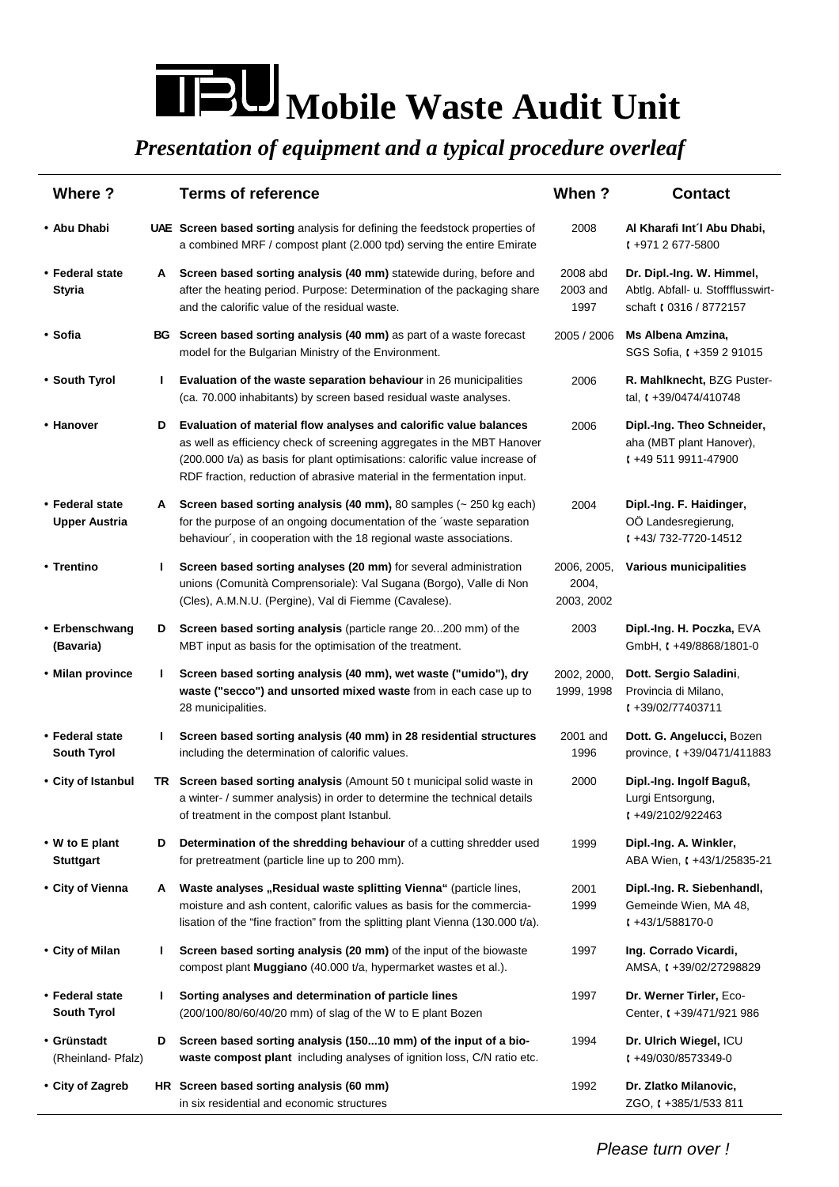## **Mobile Waste Audit Unit**

## *Presentation of equipment and a typical procedure overleaf*

| Where?                                  |    | <b>Terms of reference</b>                                                                                                                                                                                                                                                                             | When?                              | <b>Contact</b>                                                                            |
|-----------------------------------------|----|-------------------------------------------------------------------------------------------------------------------------------------------------------------------------------------------------------------------------------------------------------------------------------------------------------|------------------------------------|-------------------------------------------------------------------------------------------|
| • Abu Dhabi                             |    | <b>UAE</b> Screen based sorting analysis for defining the feedstock properties of<br>a combined MRF / compost plant (2.000 tpd) serving the entire Emirate                                                                                                                                            | 2008                               | Al Kharafi Int'l Abu Dhabi,<br>$1 + 9712677 - 5800$                                       |
| • Federal state<br><b>Styria</b>        | A  | Screen based sorting analysis (40 mm) statewide during, before and<br>after the heating period. Purpose: Determination of the packaging share<br>and the calorific value of the residual waste.                                                                                                       | 2008 abd<br>2003 and<br>1997       | Dr. Dipl.-Ing. W. Himmel,<br>Abtlg. Abfall- u. Stoffflusswirt-<br>schaft ( 0316 / 8772157 |
| • Sofia                                 |    | BG Screen based sorting analysis (40 mm) as part of a waste forecast<br>model for the Bulgarian Ministry of the Environment.                                                                                                                                                                          | 2005 / 2006                        | Ms Albena Amzina,<br>SGS Sofia, (+359 2 91015                                             |
| • South Tyrol                           | J. | Evaluation of the waste separation behaviour in 26 municipalities<br>(ca. 70.000 inhabitants) by screen based residual waste analyses.                                                                                                                                                                | 2006                               | R. Mahlknecht, BZG Puster-<br>tal, $\sqrt{(} + 39/0474/410748)$                           |
| • Hanover                               | D  | Evaluation of material flow analyses and calorific value balances<br>as well as efficiency check of screening aggregates in the MBT Hanover<br>(200.000 t/a) as basis for plant optimisations: calorific value increase of<br>RDF fraction, reduction of abrasive material in the fermentation input. | 2006                               | Dipl.-Ing. Theo Schneider,<br>aha (MBT plant Hanover),<br>$1 + 495119911 - 47900$         |
| • Federal state<br><b>Upper Austria</b> | A  | Screen based sorting analysis (40 mm), 80 samples $($ $\sim$ 250 kg each)<br>for the purpose of an ongoing documentation of the 'waste separation<br>behaviour', in cooperation with the 18 regional waste associations.                                                                              | 2004                               | Dipl.-Ing. F. Haidinger,<br>OÖ Landesregierung,<br>$( +43/732 - 7720 - 14512)$            |
| • Trentino                              | L  | Screen based sorting analyses (20 mm) for several administration<br>unions (Comunità Comprensoriale): Val Sugana (Borgo), Valle di Non<br>(Cles), A.M.N.U. (Pergine), Val di Fiemme (Cavalese).                                                                                                       | 2006, 2005,<br>2004,<br>2003, 2002 | Various municipalities                                                                    |
| • Erbenschwang<br>(Bavaria)             | D  | Screen based sorting analysis (particle range 20200 mm) of the<br>MBT input as basis for the optimisation of the treatment.                                                                                                                                                                           | 2003                               | Dipl.-Ing. H. Poczka, EVA<br>GmbH, t +49/8868/1801-0                                      |
| • Milan province                        | L  | Screen based sorting analysis (40 mm), wet waste ("umido"), dry<br>waste ("secco") and unsorted mixed waste from in each case up to<br>28 municipalities.                                                                                                                                             | 2002, 2000,<br>1999, 1998          | Dott. Sergio Saladini,<br>Provincia di Milano,<br>$1 + 39/02/77403711$                    |
| • Federal state<br><b>South Tyrol</b>   | L  | Screen based sorting analysis (40 mm) in 28 residential structures<br>including the determination of calorific values.                                                                                                                                                                                | 2001 and<br>1996                   | Dott. G. Angelucci, Bozen<br>province, $\sqrt{(} +39/0471/411883)$                        |
| • City of Istanbul                      |    | TR Screen based sorting analysis (Amount 50 t municipal solid waste in<br>a winter- / summer analysis) in order to determine the technical details<br>of treatment in the compost plant Istanbul.                                                                                                     | 2000                               | Dipl.-Ing. Ingolf Baguß,<br>Lurgi Entsorgung,<br>$1 + 49/2102/922463$                     |
| • W to E plant<br><b>Stuttgart</b>      | D  | Determination of the shredding behaviour of a cutting shredder used<br>for pretreatment (particle line up to 200 mm).                                                                                                                                                                                 | 1999                               | Dipl.-Ing. A. Winkler,<br>ABA Wien, t +43/1/25835-21                                      |
| • City of Vienna                        | A  | Waste analyses "Residual waste splitting Vienna" (particle lines,<br>moisture and ash content, calorific values as basis for the commercia-<br>lisation of the "fine fraction" from the splitting plant Vienna (130.000 t/a).                                                                         | 2001<br>1999                       | Dipl.-Ing. R. Siebenhandl,<br>Gemeinde Wien, MA 48,<br>$1 + 43/1/588170 - 0$              |
| • City of Milan                         | J. | Screen based sorting analysis (20 mm) of the input of the biowaste<br>compost plant Muggiano (40.000 t/a, hypermarket wastes et al.).                                                                                                                                                                 | 1997                               | Ing. Corrado Vicardi,<br>AMSA, t +39/02/27298829                                          |
| • Federal state<br><b>South Tyrol</b>   | L. | Sorting analyses and determination of particle lines<br>(200/100/80/60/40/20 mm) of slag of the W to E plant Bozen                                                                                                                                                                                    | 1997                               | Dr. Werner Tirler, Eco-<br>Center, t +39/471/921 986                                      |
| • Grünstadt<br>(Rheinland-Pfalz)        | D  | Screen based sorting analysis (15010 mm) of the input of a bio-<br>waste compost plant including analyses of ignition loss, C/N ratio etc.                                                                                                                                                            | 1994                               | Dr. Ulrich Wiegel, ICU<br>$1 + 49/030/8573349 - 0$                                        |
| • City of Zagreb                        |    | HR Screen based sorting analysis (60 mm)<br>in six residential and economic structures                                                                                                                                                                                                                | 1992                               | Dr. Zlatko Milanovic,<br>ZGO, t +385/1/533 811                                            |